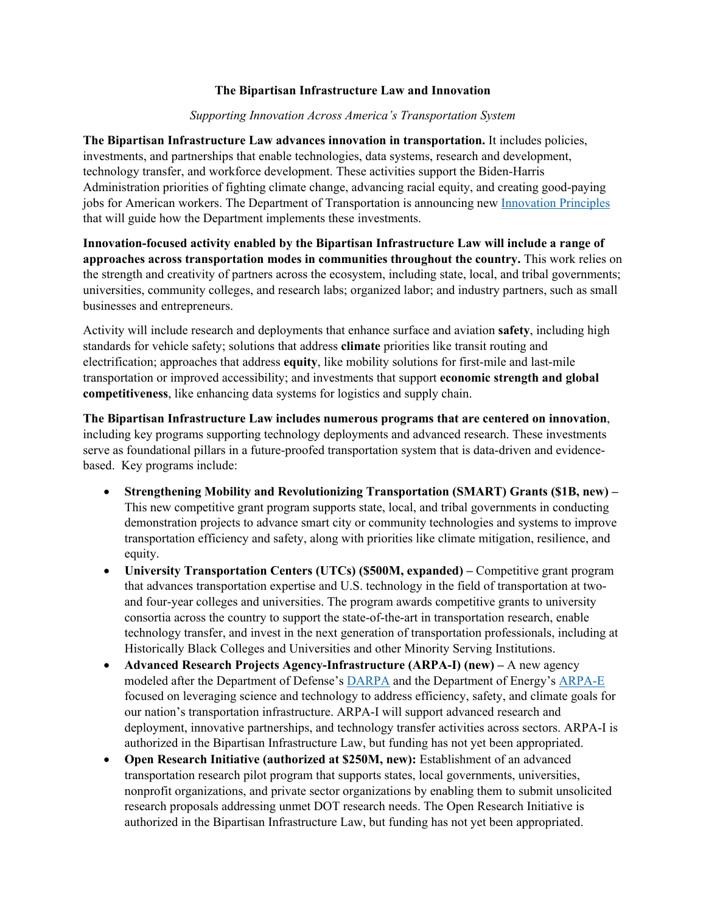## **The Bipartisan Infrastructure Law and Innovation**

## *Supporting Innovation Across America's Transportation System*

**The Bipartisan Infrastructure Law advances innovation in transportation.** It includes policies, investments, and partnerships that enable technologies, data systems, research and development, technology transfer, and workforce development. These activities support the Biden-Harris Administration priorities of fighting climate change, advancing racial equity, and creating good-paying jobs for American workers. The Department of Transportation is announcing new *[Innovation Principles](https://www.transportation.gov/priorities/innovation/us-dot-innovation-principles)* that will guide how the Department implements these investments.

**Innovation-focused activity enabled by the Bipartisan Infrastructure Law will include a range of approaches across transportation modes in communities throughout the country.** This work relies on the strength and creativity of partners across the ecosystem, including state, local, and tribal governments; universities, community colleges, and research labs; organized labor; and industry partners, such as small businesses and entrepreneurs.

Activity will include research and deployments that enhance surface and aviation **safety**, including high standards for vehicle safety; solutions that address **climate** priorities like transit routing and electrification; approaches that address **equity**, like mobility solutions for first-mile and last-mile transportation or improved accessibility; and investments that support **economic strength and global competitiveness**, like enhancing data systems for logistics and supply chain.

**The Bipartisan Infrastructure Law includes numerous programs that are centered on innovation**, including key programs supporting technology deployments and advanced research. These investments serve as foundational pillars in a future-proofed transportation system that is data-driven and evidencebased. Key programs include:

- **Strengthening Mobility and Revolutionizing Transportation (SMART) Grants (\$1B, new) –** This new competitive grant program supports state, local, and tribal governments in conducting demonstration projects to advance smart city or community technologies and systems to improve transportation efficiency and safety, along with priorities like climate mitigation, resilience, and equity.
- **University Transportation Centers (UTCs) (\$500M, expanded) –** Competitive grant program that advances transportation expertise and U.S. technology in the field of transportation at twoand four-year colleges and universities. The program awards competitive grants to university consortia across the country to support the state-of-the-art in transportation research, enable technology transfer, and invest in the next generation of transportation professionals, including at Historically Black Colleges and Universities and other Minority Serving Institutions.
- **Advanced Research Projects Agency-Infrastructure (ARPA-I) (new) –** A new agency modeled after the Department of Defense's [DARPA](https://www.darpa.mil/) and the Department of Energy's [ARPA-E](https://arpa-e.energy.gov/) focused on leveraging science and technology to address efficiency, safety, and climate goals for our nation's transportation infrastructure. ARPA-I will support advanced research and deployment, innovative partnerships, and technology transfer activities across sectors. ARPA-I is authorized in the Bipartisan Infrastructure Law, but funding has not yet been appropriated.
- **Open Research Initiative (authorized at \$250M, new):** Establishment of an advanced transportation research pilot program that supports states, local governments, universities, nonprofit organizations, and private sector organizations by enabling them to submit unsolicited research proposals addressing unmet DOT research needs. The Open Research Initiative is authorized in the Bipartisan Infrastructure Law, but funding has not yet been appropriated.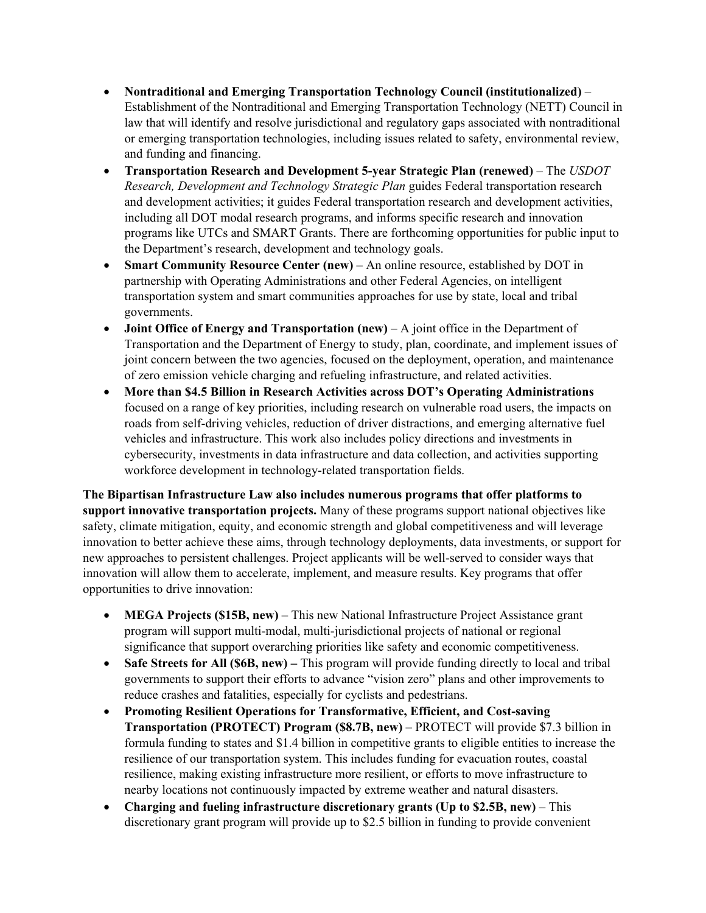- **Nontraditional and Emerging Transportation Technology Council (institutionalized)**  Establishment of the Nontraditional and Emerging Transportation Technology (NETT) Council in law that will identify and resolve jurisdictional and regulatory gaps associated with nontraditional or emerging transportation technologies, including issues related to safety, environmental review, and funding and financing.
- **Transportation Research and Development 5-year Strategic Plan (renewed)**  The *USDOT Research, Development and Technology Strategic Plan* guides Federal transportation research and development activities; it guides Federal transportation research and development activities, including all DOT modal research programs, and informs specific research and innovation programs like UTCs and SMART Grants. There are forthcoming opportunities for public input to the Department's research, development and technology goals.
- **Smart Community Resource Center (new)**  An online resource, established by DOT in partnership with Operating Administrations and other Federal Agencies, on intelligent transportation system and smart communities approaches for use by state, local and tribal governments.
- **Joint Office of Energy and Transportation (new)** A joint office in the Department of Transportation and the Department of Energy to study, plan, coordinate, and implement issues of joint concern between the two agencies, focused on the deployment, operation, and maintenance of zero emission vehicle charging and refueling infrastructure, and related activities.
- **More than \$4.5 Billion in Research Activities across DOT's Operating Administrations**  focused on a range of key priorities, including research on vulnerable road users, the impacts on roads from self-driving vehicles, reduction of driver distractions, and emerging alternative fuel vehicles and infrastructure. This work also includes policy directions and investments in cybersecurity, investments in data infrastructure and data collection, and activities supporting workforce development in technology-related transportation fields.

**The Bipartisan Infrastructure Law also includes numerous programs that offer platforms to support innovative transportation projects.** Many of these programs support national objectives like safety, climate mitigation, equity, and economic strength and global competitiveness and will leverage innovation to better achieve these aims, through technology deployments, data investments, or support for new approaches to persistent challenges. Project applicants will be well-served to consider ways that innovation will allow them to accelerate, implement, and measure results. Key programs that offer opportunities to drive innovation:

- **MEGA Projects (\$15B, new)** This new National Infrastructure Project Assistance grant program will support multi-modal, multi-jurisdictional projects of national or regional significance that support overarching priorities like safety and economic competitiveness.
- **Safe Streets for All (\$6B, new)** This program will provide funding directly to local and tribal governments to support their efforts to advance "vision zero" plans and other improvements to reduce crashes and fatalities, especially for cyclists and pedestrians.
- **Promoting Resilient Operations for Transformative, Efficient, and Cost-saving Transportation (PROTECT) Program (\$8.7B, new)** – PROTECT will provide \$7.3 billion in formula funding to states and \$1.4 billion in competitive grants to eligible entities to increase the resilience of our transportation system. This includes funding for evacuation routes, coastal resilience, making existing infrastructure more resilient, or efforts to move infrastructure to nearby locations not continuously impacted by extreme weather and natural disasters.
- **Charging and fueling infrastructure discretionary grants (Up to \$2.5B, new)** This discretionary grant program will provide up to \$2.5 billion in funding to provide convenient